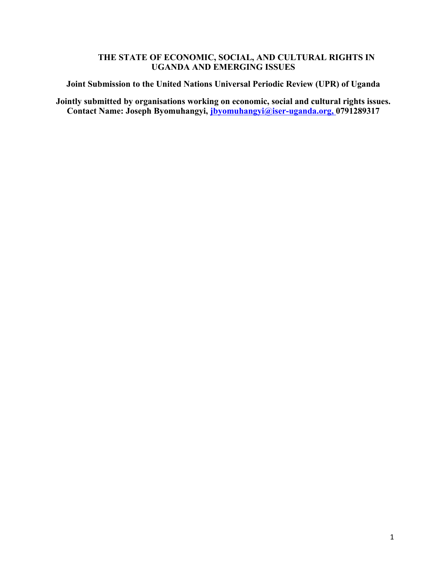# **THE STATE OF ECONOMIC, SOCIAL, AND CULTURAL RIGHTS IN UGANDA AND EMERGING ISSUES**

**Joint Submission to the United Nations Universal Periodic Review (UPR) of Uganda**

**Jointly submitted by organisations working on economic, social and cultural rights issues. Contact Name: Joseph Byomuhangyi, jbyomuhangyi@iser-uganda.org, 0791289317**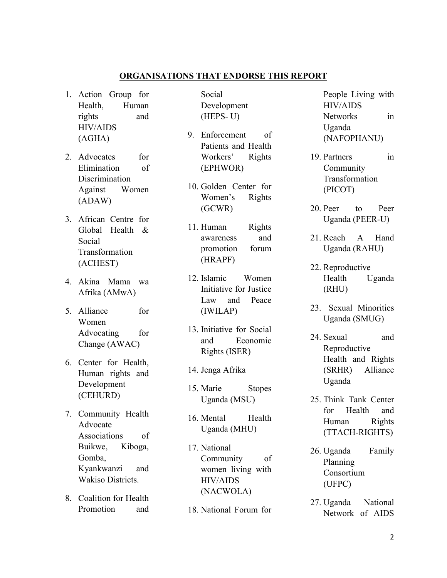### **ORGANISATIONS THAT ENDORSE THIS REPORT**

- 1. Action Group for Health, Human rights and HIV/AIDS (AGHA)
- 2. Advocates for Elimination of Discrimination Against Women (ADAW)
- 3. African Centre for Global Health & Social Transformation (ACHEST)
- 4. Akina Mama wa Afrika (AMwA)
- 5. Alliance for Women Advocating for Change (AWAC)
- 6. Center for Health, Human rights and Development (CEHURD)
- 7. Community Health Advocate Associations of Buikwe, Kiboga, Gomba, Kyankwanzi and Wakiso Districts.
- 8. Coalition for Health Promotion and

Social Development (HEPS- U)

- 9. Enforcement of Patients and Health Workers' Rights (EPHWOR)
- 10. Golden Center for Women'<sup>s</sup> Rights (GCWR)
- 11. Human Rights awareness and promotion forum (HRAPF)
- 12. Islamic Women Initiative for Justice Law and Peace (IWILAP)
- 13. Initiative for Social and Economic Rights (ISER)
- 14. Jenga Afrika
- 15. Marie Stopes Uganda (MSU)
- 16. Mental Health Uganda (MHU)
- 17. National Community of women living with HIV/AIDS (NACWOLA)
- 18. National Forum for

People Living with HIV/AIDS Networks in Uganda (NAFOPHANU)

- 19. Partners in Community Transformation (PICOT)
- 20. Peer to Peer Uganda (PEER-U)
- 21. Reach A Hand Uganda (RAHU)
- 22. Reproductive Health Uganda (RHU)
- 23. Sexual Minorities Uganda (SMUG)
- 24. Sexual and Reproductive Health and Rights (SRHR) Alliance Uganda
- 25. Think Tank Center for Health and Human Rights (TTACH-RIGHTS)
- 26. Uganda Family Planning Consortium (UFPC)
- 27. Uganda National Network of AIDS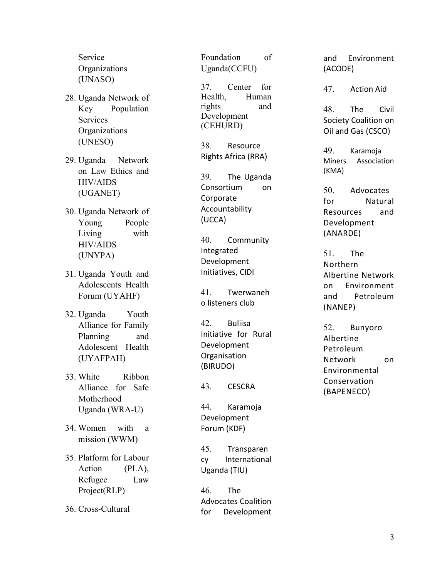Service **Organizations** (UNASO)

- 28. Uganda Network of Key Population Services **Organizations** (UNESO)
- 29. Uganda Network on Law Ethics and HIV/AIDS (UGANET)
- 30. Uganda Network of Young People Living with HIV/AIDS (UNYPA)
- 31. Uganda Youth and Adolescents Health Forum (UYAHF)
- 32. Uganda Youth Alliance for Family Planning and Adolescent Health (UYAFPAH)
- 33. White Ribbon Alliance for Safe Motherhood Uganda (WRA-U)
- 34. Women with a mission (WWM)
- 35. Platform for Labour Action (PLA), Refugee Law Project(RLP)
- 36. Cross-Cultural

Foundation of Uganda(CCFU)

37. Center for Health, Human rights and Development (CEHURD)

38. Resource Rights Africa (RRA)

39. The Uganda Consortium on Corporate Accountability (UCCA)

40. Community Integrated Development Initiatives, CIDI

41. Twerwaneh o listeners club

42. Buliisa Initiative for Rural Development **Organisation** (BIRUDO)

43. CESCRA

44. Karamoja Development Forum (KDF)

45. Transparen cy International Uganda (TIU)

46. The Advocates Coalition for Development and Environment (ACODE)

47. Action Aid

48. The Civil Society Coalition on Oil and Gas (CSCO)

49. Karamoja Miners Association (KMA)

50. Advocates f o r Natural Resources a n d Development ( AN A R D E )

51. T h e Northern Albertine Network o n Environment a n d Petroleum ( N A N E P )

52. Bunyoro Albertine Petroleum Network o n **Environmental** Conservation (BAPENECO)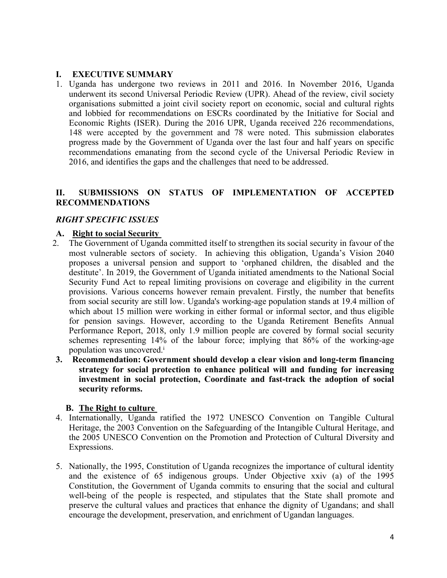## **I. EXECUTIVE SUMMARY**

1. Uganda has undergone two reviews in 2011 and 2016. In November 2016, Uganda underwent its second Universal Periodic Review (UPR). Ahead of the review, civil society organisations submitted <sup>a</sup> joint civil society repor<sup>t</sup> on economic, social and cultural rights and lobbied for recommendations on ESCRs coordinated by the Initiative for Social and Economic Rights (ISER). During the 2016 UPR, Uganda received 226 recommendations, 148 were accepted by the governmen<sup>t</sup> and 78 were noted. This submission elaborates progress made by the Government of Uganda over the last four and half years on specific recommendations emanating from the second cycle of the Universal Periodic Review in 2016, and identifies the gaps and the challenges that need to be addressed.

### **II. SUBMISSIONS ON STATUS OF IMPLEMENTATION OF ACCEPTED RECOMMENDATIONS**

# *RIGHT SPECIFIC ISSUES*

### **A. Right to social Security**

- 2. The Government of Uganda committed itself to strengthen its social security in favour of the most vulnerable sectors of society. In achieving this obligation, Uganda'<sup>s</sup> Vision 2040 proposes <sup>a</sup> universal pension and suppor<sup>t</sup> to 'orphaned children, the disabled and the destitute'. In 2019, the Government of Uganda initiated amendments to the National Social Security Fund Act to repeal limiting provisions on coverage and eligibility in the current provisions. Various concerns however remain prevalent. Firstly, the number that benefits from social security are still low. Uganda's working-age population stands at 19.4 million of which about 15 million were working in either formal or informal sector, and thus eligible for pension savings. However, according to the Uganda Retirement Benefits Annual Performance Report, 2018, only 1.9 million people are covered by formal social security schemes representing 14% of the labour force; implying that 86% of the working-age population was uncovered. i
- **3. Recommendation: Government should develop <sup>a</sup> clear vision and long-term financing strategy for social protection to enhance political will and funding for increasing investment in social protection, Coordinate and fast-track the adoption of social security reforms.**

#### **B. The Right to culture**

- 4. Internationally, Uganda ratified the 1972 UNESCO Convention on Tangible Cultural Heritage, the 2003 Convention on the Safeguarding of the Intangible Cultural Heritage, and the 2005 UNESCO Convention on the Promotion and Protection of Cultural Diversity and Expressions.
- 5. Nationally, the 1995, Constitution of Uganda recognizes the importance of cultural identity and the existence of 65 indigenous groups. Under Objective xxiv (a) of the 1995 Constitution, the Government of Uganda commits to ensuring that the social and cultural well-being of the people is respected, and stipulates that the State shall promote and preserve the cultural values and practices that enhance the dignity of Ugandans; and shall encourage the development, preservation, and enrichment of Ugandan languages.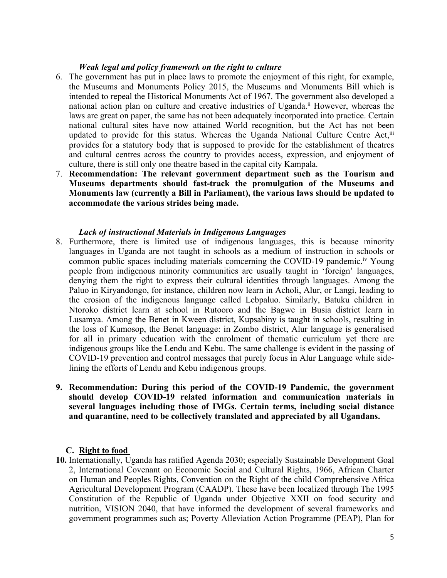#### *Weak legal and policy framework on the right to culture*

- 6. The governmen<sup>t</sup> has pu<sup>t</sup> in place laws to promote the enjoyment of this right, for example, the Museums and Monuments Policy 2015, the Museums and Monuments Bill which is intended to repeal the Historical Monuments Act of 1967. The governmen<sup>t</sup> also developed <sup>a</sup> national action plan on culture and creative industries of Uganda. ii However, whereas the laws are grea<sup>t</sup> on paper, the same has not been adequately incorporated into practice. Certain national cultural sites have now attained World recognition, but the Act has not been updated to provide for this status. Whereas the Uganda National Culture Centre Act,<sup>ii</sup> provides for <sup>a</sup> statutory body that is supposed to provide for the establishment of theatres and cultural centres across the country to provides access, expression, and enjoyment of culture, there is still only one theatre based in the capital city Kampala.
- 7. **Recommendation: The relevant government department such as the Tourism and Museums departments should fast-track the promulgation of the Museums and Monuments law (currently <sup>a</sup> Bill in Parliament), the various laws should be updated to accommodate the various strides being made.**

#### *Lack of instructional Materials in Indigenous Languages*

- 8. Furthermore, there is limited use of indigenous languages, this is because minority languages in Uganda are not taught in schools as <sup>a</sup> medium of instruction in schools or common public spaces including materials comcerning the COVID-19 pandemic.<sup>iv</sup> Young people from indigenous minority communities are usually taught in 'foreign' languages, denying them the right to express their cultural identities through languages. Among the Paluo in Kiryandongo, for instance, children now learn in Acholi, Alur, or Langi, leading to the erosion of the indigenous language called Lebpaluo. Similarly, Batuku children in Ntoroko district learn at school in Rutooro and the Bagwe in Busia district learn in Lusamya. Among the Benet in Kween district, Kupsabiny is taught in schools, resulting in the loss of Kumosop, the Benet language: in Zombo district, Alur language is generalised for all in primary education with the enrolment of thematic curriculum ye<sup>t</sup> there are indigenous groups like the Lendu and Kebu. The same challenge is evident in the passing of COVID-19 prevention and control messages that purely focus in Alur Language while sidelining the efforts of Lendu and Kebu indigenous groups.
- **9. Recommendation: During this period of the COVID-19 Pandemic, the government should develop COVID-19 related information and communication materials in several languages including those of IMGs. Certain terms, including social distance and quarantine, need to be collectively translated and appreciated by all Ugandans.**

#### **C. Right to food**

**10.** Internationally, Uganda has ratified Agenda 2030; especially Sustainable Development Goal 2, International Covenant on Economic Social and Cultural Rights, 1966, African Charter on Human and Peoples Rights, Convention on the Right of the child Comprehensive Africa Agricultural Development Program (CAADP). These have been localized through The 1995 Constitution of the Republic of Uganda under Objective XXII on food security and nutrition, VISION 2040, that have informed the development of several frameworks and governmen<sup>t</sup> programmes such as; Poverty Alleviation Action Programme (PEAP), Plan for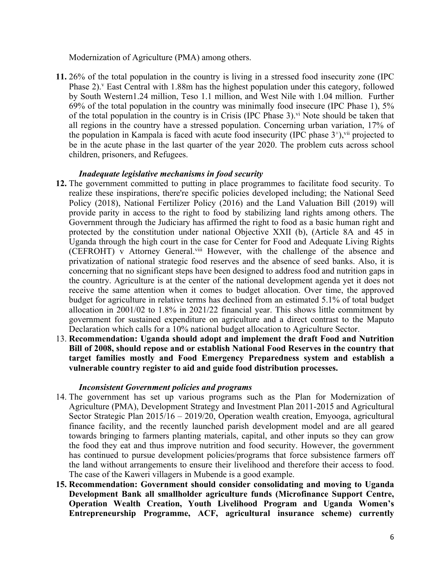Modernization of Agriculture (PMA) among others.

**11.** 26% of the total population in the country is living in <sup>a</sup> stressed food insecurity zone (IPC Phase 2).<sup>v</sup> East Central with 1.88m has the highest population under this category, followed by South Western1.24 million, Teso 1.1 million, and West Nile with 1.04 million. Further 69% of the total population in the country was minimally food insecure (IPC Phase 1), 5% of the total population in the country is in Crisis (IPC Phase 3).<sup>vi</sup> Note should be taken that all regions in the country have <sup>a</sup> stressed population. Concerning urban variation, 17% of the population in Kampala is faced with acute food insecurity (IPC phase  $3^+$ ),  $\overline{v}$  projected to be in the acute phase in the last quarter of the year 2020. The problem cuts across school children, prisoners, and Refugees.

#### *Inadequate legislative mechanisms in food security*

- **12.** The governmen<sup>t</sup> committed to putting in place programmes to facilitate food security. To realize these inspirations, there're specific policies developed including; the National Seed Policy (2018), National Fertilizer Policy (2016) and the Land Valuation Bill (2019) will provide parity in access to the right to food by stabilizing land rights among others. The Government through the Judiciary has affirmed the right to food as <sup>a</sup> basic human right and protected by the constitution under national Objective XXII (b), (Article 8A and 45 in Uganda through the high court in the case for Center for Food and Adequate Living Rights (CEFROHT) v Attorney General.<sup>viii</sup> However, with the challenge of the absence and privatization of national strategic food reserves and the absence of seed banks. Also, it is concerning that no significant steps have been designed to address food and nutrition gaps in the country. Agriculture is at the center of the national development agenda ye<sup>t</sup> it does not receive the same attention when it comes to budget allocation. Over time, the approved budget for agriculture in relative terms has declined from an estimated 5.1% of total budget allocation in 2001/02 to 1.8% in 2021/22 financial year. This shows little commitment by governmen<sup>t</sup> for sustained expenditure on agriculture and <sup>a</sup> direct contrast to the Maputo Declaration which calls for <sup>a</sup> 10% national budget allocation to Agriculture Sector.
- 13. **Recommendation: Uganda should adopt and implement the draft Food and Nutrition Bill of 2008, should repose and or establish National Food Reserves in the country that target families mostly and Food Emergency Preparedness system and establish <sup>a</sup> vulnerable country register to aid and guide food distribution processes.**

#### *Inconsistent Government policies and programs*

- 14. The governmen<sup>t</sup> has set up various programs such as the Plan for Modernization of Agriculture (PMA), Development Strategy and Investment Plan 2011-2015 and Agricultural Sector Strategic Plan 2015/16 – 2019/20, Operation wealth creation, Emyooga, agricultural finance facility, and the recently launched parish development model and are all geared towards bringing to farmers planting materials, capital, and other inputs so they can grow the food they eat and thus improve nutrition and food security. However, the governmen<sup>t</sup> has continued to pursue development policies/programs that force subsistence farmers off the land without arrangements to ensure their livelihood and therefore their access to food. The case of the Kaweri villagers in Mubende is <sup>a</sup> good example.
- **15. Recommendation: Government should consider consolidating and moving to Uganda Development Bank all smallholder agriculture funds (Microfinance Support Centre, Operation Wealth Creation, Youth Livelihood Program and Uganda Women'<sup>s</sup> Entrepreneurship Programme, ACF, agricultural insurance scheme) currently**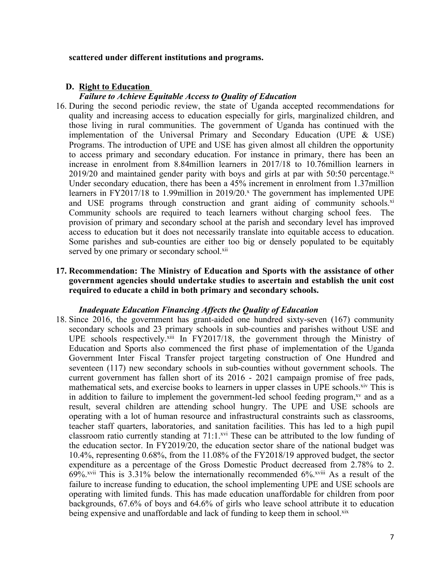#### **scattered under different institutions and programs.**

#### **D. Right to Education**

#### *Failure to Achieve Equitable Access to Quality of Education*

- 16. During the second periodic review, the state of Uganda accepted recommendations for quality and increasing access to education especially for girls, marginalized children, and those living in rural communities. The governmen<sup>t</sup> of Uganda has continued with the implementation of the Universal Primary and Secondary Education (UPE & USE) Programs. The introduction of UPE and USE has given almost all children the opportunity to access primary and secondary education. For instance in primary, there has been an increase in enrolment from 8.84million learners in 2017/18 to 10.76million learners in 2019/20 and maintained gender parity with boys and girls at par with 50:50 percentage.<sup>ix</sup> Under secondary education, there has been <sup>a</sup> 45% increment in enrolment from 1.37million learners in FY2017/18 to 1.99million in 2019/20. x The governmen<sup>t</sup> has implemented UPE and USE programs through construction and grant aiding of community schools.<sup>xi</sup> Community schools are required to teach learners without charging school fees. The provision of primary and secondary school at the parish and secondary level has improved access to education but it does not necessarily translate into equitable access to education. Some parishes and sub-counties are either too big or densely populated to be equitably served by one primary or secondary school.<sup>xii</sup>
- **17. Recommendation: The Ministry of Education and Sports with the assistance of other government agencies should undertake studies to ascertain and establish the unit cost required to educate <sup>a</sup> child in both primary and secondary schools.**

#### *Inadequate Education Financing Affects the Quality of Education*

18. Since 2016, the governmen<sup>t</sup> has grant-aided one hundred sixty-seven (167) community secondary schools and 23 primary schools in sub-counties and parishes without USE and UPE schools respectively.<sup>xiii</sup> In FY2017/18, the government through the Ministry of Education and Sports also commenced the first phase of implementation of the Uganda Government Inter Fiscal Transfer project targeting construction of One Hundred and seventeen (117) new secondary schools in sub-counties without governmen<sup>t</sup> schools. The current governmen<sup>t</sup> has fallen short of its 2016 - 2021 campaign promise of free pads, mathematical sets, and exercise books to learners in upper classes in UPE schools. Xiv This is in addition to failure to implement the government-led school feeding program,<sup>xv</sup> and as a result, several children are attending school hungry. The UPE and USE schools are operating with <sup>a</sup> lot of human resource and infrastructural constraints such as classrooms, teacher staff quarters, laboratories, and sanitation facilities. This has led to <sup>a</sup> high pupil classroom ratio currently standing at 71:1.<sup>xvi</sup> These can be attributed to the low funding of the education sector. In FY2019/20, the education sector share of the national budget was 10.4%, representing 0.68%, from the 11.08% of the FY2018/19 approved budget, the sector expenditure as <sup>a</sup> percentage of the Gross Domestic Product decreased from 2.78% to 2. 69%.<sup>xvii</sup> This is 3.31% below the internationally recommended 6%.<sup>xviii</sup> As a result of the failure to increase funding to education, the school implementing UPE and USE schools are operating with limited funds. This has made education unaffordable for children from poor backgrounds, 67.6% of boys and 64.6% of girls who leave school attribute it to education being expensive and unaffordable and lack of funding to keep them in school.<sup>xix</sup>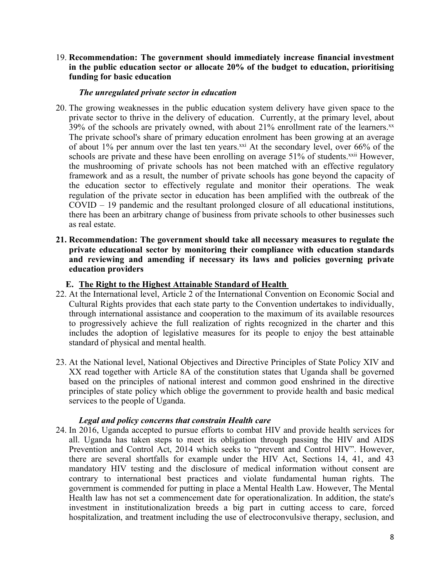19. **Recommendation: The government should immediately increase financial investment in the public education sector or allocate 20% of the budget to education, prioritising funding for basic education**

#### *The unregulated private sector in education*

- 20. The growing weaknesses in the public education system delivery have given space to the private sector to thrive in the delivery of education. Currently, at the primary level, about 39% of the schools are privately owned, with about 21% enrollment rate of the learners.<sup>xx</sup> The private school's share of primary education enrolment has been growing at an average of about 1% per annum over the last ten years.<sup>xxi</sup> At the secondary level, over 66% of the schools are private and these have been enrolling on average 51% of students.<sup>xxii</sup> However, the mushrooming of private schools has not been matched with an effective regulatory framework and as <sup>a</sup> result, the number of private schools has gone beyond the capacity of the education sector to effectively regulate and monitor their operations. The weak regulation of the private sector in education has been amplified with the outbreak of the COVID – 19 pandemic and the resultant prolonged closure of all educational institutions, there has been an arbitrary change of business from private schools to other businesses such as real estate.
- **21. Recommendation: The government should take all necessary measures to regulate the private educational sector by monitoring their compliance with education standards and reviewing and amending if necessary its laws and policies governing private education providers**

#### **E. The Right to the Highest Attainable Standard of Health**

- 22. At the International level, Article 2 of the International Convention on Economic Social and Cultural Rights provides that each state party to the Convention undertakes to individually, through international assistance and cooperation to the maximum of its available resources to progressively achieve the full realization of rights recognized in the charter and this includes the adoption of legislative measures for its people to enjoy the best attainable standard of physical and mental health.
- 23. At the National level, National Objectives and Directive Principles of State Policy XIV and XX read together with Article 8A of the constitution states that Uganda shall be governed based on the principles of national interest and common good enshrined in the directive principles of state policy which oblige the governmen<sup>t</sup> to provide health and basic medical services to the people of Uganda.

#### *Legal and policy concerns that constrain Health care*

24. In 2016, Uganda accepted to pursue efforts to combat HIV and provide health services for all. Uganda has taken steps to meet its obligation through passing the HIV and AIDS Prevention and Control Act, 2014 which seeks to "preven<sup>t</sup> and Control HIV". However, there are several shortfalls for example under the HIV Act, Sections 14, 41, and 43 mandatory HIV testing and the disclosure of medical information without consent are contrary to international best practices and violate fundamental human rights. The governmen<sup>t</sup> is commended for putting in place <sup>a</sup> Mental Health Law. However, The Mental Health law has not set <sup>a</sup> commencement date for operationalization. In addition, the state's investment in institutionalization breeds <sup>a</sup> big par<sup>t</sup> in cutting access to care, forced hospitalization, and treatment including the use of electroconvulsive therapy, seclusion, and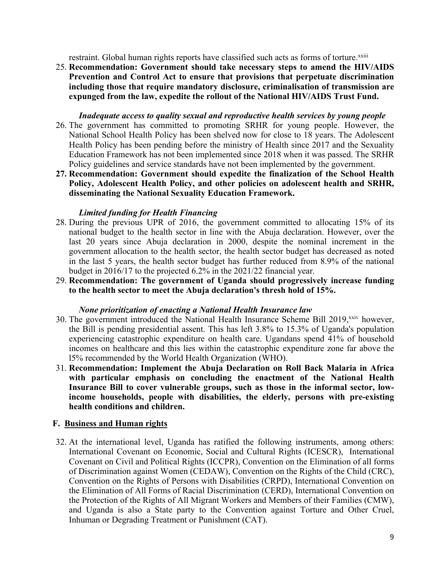restraint. Global human rights reports have classified such acts as forms of torture.<sup>xxiii</sup>

25. **Recommendation: Government should take necessary steps to amend the HIV/AIDS Prevention and Control Act to ensure that provisions that perpetuate discrimination including those that require mandatory disclosure, criminalisation of transmission are expunged from the law, expedite the rollout of the National HIV/AIDS Trust Fund.**

#### *Inadequate access to quality sexual and reproductive health services by young people*

- 26. The governmen<sup>t</sup> has committed to promoting SRHR for young people. However, the National School Health Policy has been shelved now for close to 18 years. The Adolescent Health Policy has been pending before the ministry of Health since 2017 and the Sexuality Education Framework has not been implemented since 2018 when it was passed. The SRHR Policy guidelines and service standards have not been implemented by the government.
- **27. Recommendation: Government should expedite the finalization of the School Health Policy, Adolescent Health Policy, and other policies on adolescent health and SRHR, disseminating the National Sexuality Education Framework.**

#### *Limited funding for Health Financing*

- 28. During the previous UPR of 2016, the governmen<sup>t</sup> committed to allocating 15% of its national budget to the health sector in line with the Abuja declaration. However, over the last 20 years since Abuja declaration in 2000, despite the nominal increment in the governmen<sup>t</sup> allocation to the health sector, the health sector budget has decreased as noted in the last 5 years, the health sector budget has further reduced from 8.9% of the national budget in 2016/17 to the projected 6.2% in the 2021/22 financial year.
- 29. **Recommendation: The government of Uganda should progressively increase funding to the health sector to meet the Abuja declaration's thresh hold of 15%.**

#### *None prioritization of enacting <sup>a</sup> National Health Insurance law*

- 30. The government introduced the National Health Insurance Scheme Bill 2019,<sup>xxiv</sup> however, the Bill is pending presidential assent. This has left 3.8% to 15.3% of Uganda's population experiencing catastrophic expenditure on health care. Ugandans spend 41% of household incomes on healthcare and this lies within the catastrophic expenditure zone far above the l5% recommended by the World Health Organization (WHO).
- 31. **Recommendation: Implement the Abuja Declaration on Roll Back Malaria in Africa with particular emphasis on concluding the enactment of the National Health Insurance Bill to cover vulnerable groups, such as those in the informal sector, lowincome households, people with disabilities, the elderly, persons with pre-existing health conditions and children.**

#### **F. Business and Human rights**

32. At the international level, Uganda has ratified the following instruments, among others: International Covenant on Economic, Social and Cultural Rights (ICESCR), International Covenant on Civil and Political Rights (ICCPR), Convention on the Elimination of all forms of Discrimination against Women (CEDAW), Convention on the Rights of the Child (CRC), Convention on the Rights of Persons with Disabilities (CRPD), International Convention on the Elimination of All Forms of Racial Discrimination (CERD), International Convention on the Protection of the Rights of All Migrant Workers and Members of their Families (CMW), and Uganda is also <sup>a</sup> State party to the Convention against Torture and Other Cruel, Inhuman or Degrading Treatment or Punishment (CAT).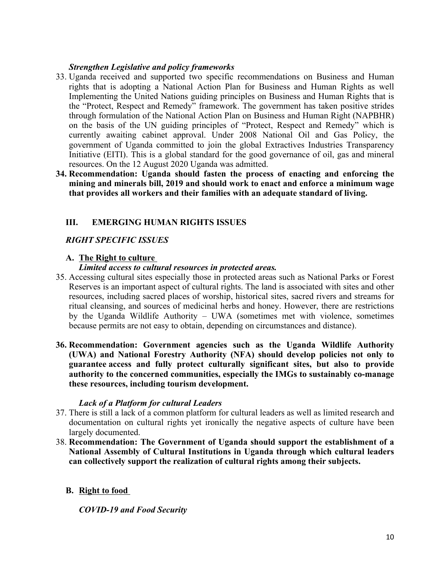### *Strengthen Legislative and policy frameworks*

- 33. Uganda received and supported two specific recommendations on Business and Human rights that is adopting <sup>a</sup> National Action Plan for Business and Human Rights as well Implementing the United Nations guiding principles on Business and Human Rights that is the "Protect, Respect and Remedy" framework. The governmen<sup>t</sup> has taken positive strides through formulation of the National Action Plan on Business and Human Right (NAPBHR) on the basis of the UN guiding principles of "Protect, Respect and Remedy" which is currently awaiting cabinet approval. Under 2008 National Oil and Gas Policy, the governmen<sup>t</sup> of Uganda committed to join the global Extractives Industries Transparency Initiative (EITI). This is <sup>a</sup> global standard for the good governance of oil, gas and mineral resources. On the 12 August 2020 Uganda was admitted.
- **34. Recommendation: Uganda should fasten the process of enacting and enforcing the mining and minerals bill, 2019 and should work to enact and enforce <sup>a</sup> minimum wage that provides all workers and their families with an adequate standard of living.**

# **III. EMERGING HUMAN RIGHTS ISSUES**

### *RIGHT SPECIFIC ISSUES*

### **A. The Right to culture**

#### *Limited access to cultural resources in protected areas.*

- 35. Accessing cultural sites especially those in protected areas such as National Parks or Forest Reserves is an important aspec<sup>t</sup> of cultural rights. The land is associated with sites and other resources, including sacred places of worship, historical sites, sacred rivers and streams for ritual cleansing, and sources of medicinal herbs and honey. However, there are restrictions by the Uganda Wildlife Authority – UWA (sometimes met with violence, sometimes because permits are not easy to obtain, depending on circumstances and distance).
- **36. Recommendation: Government agencies such as the Uganda Wildlife Authority (UWA) and National Forestry Authority (NFA) should develop policies not only to guarantee access and fully protect culturally significant sites, but also to provide authority to the concerned communities, especially the IMGs to sustainably co-manage these resources, including tourism development.**

#### *Lack of <sup>a</sup> Platform for cultural Leaders*

- 37. There is still <sup>a</sup> lack of <sup>a</sup> common platform for cultural leaders as well as limited research and documentation on cultural rights ye<sup>t</sup> ironically the negative aspects of culture have been largely documented.
- 38. **Recommendation: The Government of Uganda should support the establishment of <sup>a</sup> National Assembly of Cultural Institutions in Uganda through which cultural leaders can collectively support the realization of cultural rights among their subjects.**

# **B. Right to food**

*COVID-19 and Food Security*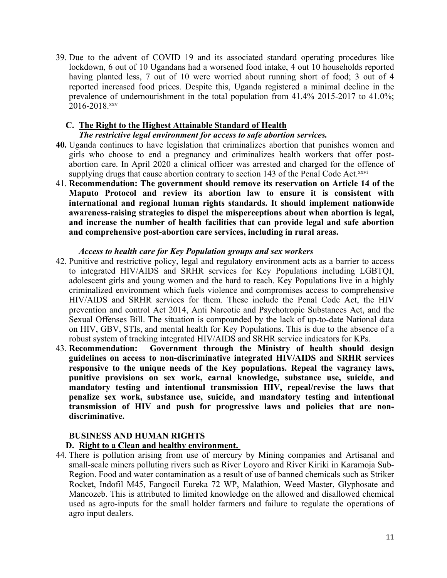39. Due to the advent of COVID 19 and its associated standard operating procedures like lockdown, 6 out of 10 Ugandans had <sup>a</sup> worsened food intake, 4 out 10 households reported having planted less, 7 out of 10 were worried about running short of food; 3 out of 4 reported increased food prices. Despite this, Uganda registered <sup>a</sup> minimal decline in the prevalence of undernourishment in the total population from 41.4% 2015-2017 to 41.0%; 2016-2018. xxv

# **C. The Right to the Highest Attainable Standard of Health**

#### *The restrictive legal environment for access to safe abortion services.*

- **40.** Uganda continues to have legislation that criminalizes abortion that punishes women and girls who choose to end <sup>a</sup> pregnancy and criminalizes health workers that offer postabortion care. In April 2020 <sup>a</sup> clinical officer was arrested and charged for the offence of supplying drugs that cause abortion contrary to section 143 of the Penal Code Act.<sup>xxvi</sup>
- 41. **Recommendation: The government should remove its reservation on Article 14 of the Maputo Protocol and review its abortion law to ensure it is consistent with international and regional human rights standards. It should implement nationwide awareness-raising strategies to dispel the misperceptions about when abortion is legal, and increase the number of health facilities that can provide legal and safe abortion and comprehensive post-abortion care services, including in rural areas.**

### *Access to health care for Key Population groups and sex workers*

- 42. Punitive and restrictive policy, legal and regulatory environment acts as <sup>a</sup> barrier to access to integrated HIV/AIDS and SRHR services for Key Populations including LGBTQI, adolescent girls and young women and the hard to reach. Key Populations live in <sup>a</sup> highly criminalized environment which fuels violence and compromises access to comprehensive HIV/AIDS and SRHR services for them. These include the Penal Code Act, the HIV prevention and control Act 2014, Anti Narcotic and Psychotropic Substances Act, and the Sexual Offenses Bill. The situation is compounded by the lack of up-to-date National data on HIV, GBV, STIs, and mental health for Key Populations. This is due to the absence of <sup>a</sup> robust system of tracking integrated HIV/AIDS and SRHR service indicators for KPs.
- 43. **Recommendation: Government through the Ministry of health should design guidelines on access to non-discriminative integrated HIV/AIDS and SRHR services responsive to the unique needs of the Key populations. Repeal the vagrancy laws, punitive provisions on sex work, carnal knowledge, substance use, suicide, and mandatory testing and intentional transmission HIV, repeal/revise the laws that penalize sex work, substance use, suicide, and mandatory testing and intentional transmission of HIV and push for progressive laws and policies that are nondiscriminative.**

# **BUSINESS AND HUMAN RIGHTS**

#### **D. Right to <sup>a</sup> Clean and healthy environment.**

44. There is pollution arising from use of mercury by Mining companies and Artisanal and small-scale miners polluting rivers such as River Loyoro and River Kiriki in Karamoja Sub-Region. Food and water contamination as <sup>a</sup> result of use of banned chemicals such as Striker Rocket, Indofil M45, Fangocil Eureka 72 WP, Malathion, Weed Master, Glyphosate and Mancozeb. This is attributed to limited knowledge on the allowed and disallowed chemical used as agro-inputs for the small holder farmers and failure to regulate the operations of agro input dealers.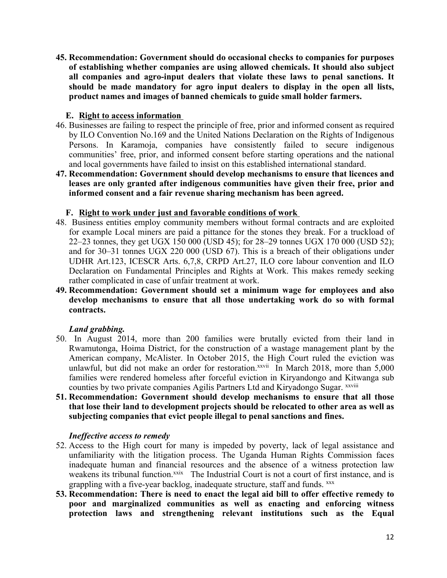**45. Recommendation: Government should do occasional checks to companies for purposes of establishing whether companies are using allowed chemicals. It should also subject all companies and agro-input dealers that violate these laws to penal sanctions. It should be made mandatory for agro input dealers to display in the open all lists, product names and images of banned chemicals to guide small holder farmers.**

### **E. Right to access information**

- 46. Businesses are failing to respec<sup>t</sup> the principle of free, prior and informed consent as required by ILO Convention No.169 and the United Nations Declaration on the Rights of Indigenous Persons. In Karamoja, companies have consistently failed to secure indigenous communities' free, prior, and informed consent before starting operations and the national and local governments have failed to insist on this established international standard.
- **47. Recommendation: Government should develop mechanisms to ensure that licences and leases are only granted after indigenous communities have given their free, prior and informed consent and <sup>a</sup> fair revenue sharing mechanism has been agreed.**

# **F. Right to work under just and favorable conditions of work**

- 48. Business entities employ community members without formal contracts and are exploited for example Local miners are paid <sup>a</sup> pittance for the stones they break. For <sup>a</sup> truckload of 22–23 tonnes, they ge<sup>t</sup> UGX 150 000 (USD 45); for 28–29 tonnes UGX 170 000 (USD 52); and for 30–31 tonnes UGX 220 000 (USD 67). This is <sup>a</sup> breach of their obligations under UDHR Art.123, ICESCR Arts. 6,7,8, CRPD Art.27, ILO core labour convention and ILO Declaration on Fundamental Principles and Rights at Work. This makes remedy seeking rather complicated in case of unfair treatment at work.
- **49. Recommendation: Government should set <sup>a</sup> minimum wage for employees and also develop mechanisms to ensure that all those undertaking work do so with formal contracts.**

# *Land grabbing.*

- 50. In August 2014, more than 200 families were brutally evicted from their land in Rwamutonga, Hoima District, for the construction of <sup>a</sup> wastage managemen<sup>t</sup> plant by the American company, McAlister. In October 2015, the High Court ruled the eviction was unlawful, but did not make an order for restoration.<sup>xxvii</sup> In March 2018, more than 5,000 families were rendered homeless after forceful eviction in Kiryandongo and Kitwanga sub counties by two private companies Agilis Partners Ltd and Kiryadongo Sugar. xxviii
- **51. Recommendation: Government should develop mechanisms to ensure that all those that lose their land to development projects should be relocated to other area as well as subjecting companies that evict people illegal to penal sanctions and fines.**

#### *Ineffective access to remedy*

- 52. Access to the High court for many is impeded by poverty, lack of legal assistance and unfamiliarity with the litigation process. The Uganda Human Rights Commission faces inadequate human and financial resources and the absence of <sup>a</sup> witness protection law weakens its tribunal function.<sup>xxix</sup> The Industrial Court is not a court of first instance, and is grappling with <sup>a</sup> five-year backlog, inadequate structure, staff and funds. xxx
- **53. Recommendation: There is need to enact the legal aid bill to offer effective remedy to poor and marginalized communities as well as enacting and enforcing witness protection laws and strengthening relevant institutions such as the Equal**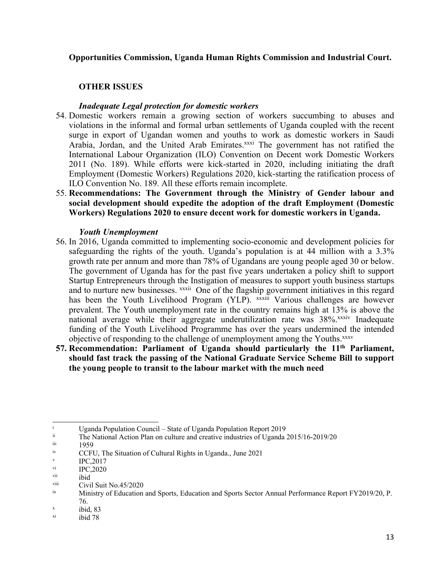### **Opportunities Commission, Uganda Human Rights Commission and Industrial Court.**

# **OTHER ISSUES**

#### *Inadequate Legal protection for domestic workers*

- 54. Domestic workers remain <sup>a</sup> growing section of workers succumbing to abuses and violations in the informal and formal urban settlements of Uganda coupled with the recent surge in expor<sup>t</sup> of Ugandan women and youths to work as domestic workers in Saudi Arabia, Jordan, and the United Arab Emirates.xxxi The government has not ratified the International Labour Organization (ILO) Convention on Decent work Domestic Workers 2011 (No. 189). While efforts were kick-started in 2020, including initiating the draft Employment (Domestic Workers) Regulations 2020, kick-starting the ratification process of ILO Convention No. 189. All these efforts remain incomplete.
- 55. **Recommendations: The Government through the Ministry of Gender labour and social development should expedite the adoption of the draft Employment (Domestic Workers) Regulations 2020 to ensure decent work for domestic workers in Uganda.**

#### *Youth Unemployment*

- 56. In 2016, Uganda committed to implementing socio-economic and development policies for safeguarding the rights of the youth. Uganda'<sup>s</sup> population is at 44 million with <sup>a</sup> 3.3% growth rate per annum and more than 78% of Ugandans are young people aged 30 or below. The governmen<sup>t</sup> of Uganda has for the pas<sup>t</sup> five years undertaken <sup>a</sup> policy shift to suppor<sup>t</sup> Startup Entrepreneurs through the Instigation of measures to suppor<sup>t</sup> youth business startups and to nurture new businesses. <sup>xxxii</sup> One of the flagship government initiatives in this regard has been the Youth Livelihood Program (YLP). xxxiii Various challenges are however prevalent. The Youth unemployment rate in the country remains high at 13% is above the national average while their aggregate underutilization rate was 38%.xxxiv Inadequate funding of the Youth Livelihood Programme has over the years undermined the intended objective of responding to the challenge of unemployment among the Youths. xxxv
- **57. Recommendation: Parliament of Uganda should particularly the 11th Parliament, should fast track the passing of the National Graduate Service Scheme Bill to support the young people to transit to the labour market with the much need**

 $\mu$ <sup>i</sup> Uganda Population Council – State of Uganda Population Report 2019

ii The National Action Plan on culture and creative industries of Uganda 2015/16-2019/20

iii 1959

iv CCFU, The Situation of Cultural Rights in Uganda., June 2021

v IPC,2017

vi IPC,2020

vii ibid

viii Civil Suit No.45/2020

ix Ministry of Education and Sports, Education and Sports Sector Annual Performance Report FY2019/20, P. 76.

x ibid, 83

xi ibid 78